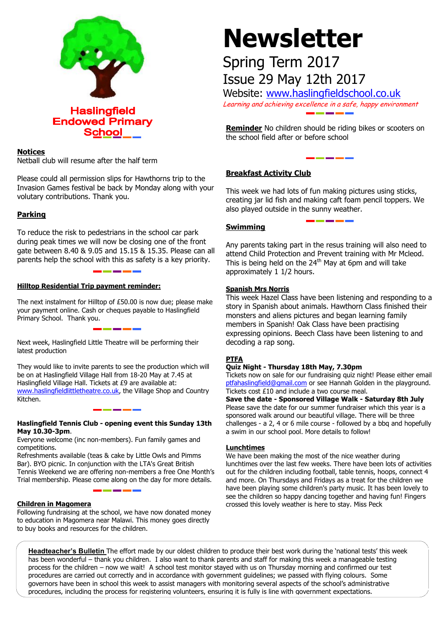

# **Notices**

Netball club will resume after the half term

Please could all permission slips for Hawthorns trip to the Invasion Games festival be back by Monday along with your volutary contributions. Thank you.

# **Parking**

To reduce the risk to pedestrians in the school car park during peak times we will now be closing one of the front gate between 8.40 & 9.05 and 15.15 & 15.35. Please can all parents help the school with this as safety is a key priority.

### **Hilltop Residential Trip payment reminder:**

The next instalment for Hilltop of £50.00 is now due; please make your payment online. Cash or cheques payable to Haslingfield Primary School. Thank you.

Next week, Haslingfield Little Theatre will be performing their latest production

They would like to invite parents to see the production which will be on at Haslingfield Village Hall from 18-20 May at 7.45 at Haslingfield Village Hall. Tickets at £9 are available at: [www.haslingfieldlittletheatre.co.uk,](http://www.haslingfieldlittletheatre.co.uk/) the Village Shop and Country Kitchen.

#### **Haslingfield Tennis Club - opening event this Sunday 13th May 10.30-3pm**.

Everyone welcome (inc non-members). Fun family games and competitions.

Refreshments available (teas & cake by Little Owls and Pimms Bar). BYO picnic. In conjunction with the LTA's Great British Tennis Weekend we are offering non-members a free One Month's Trial membership. Please come along on the day for more details.

#### **Children in Magomera**

Following fundraising at the school, we have now donated money to education in Magomera near Malawi. This money goes directly to buy books and resources for the children.

# **Newsletter**

# Spring Term 2017 Issue 29 May 12th 2017

Website: [www.haslingfieldschool.co.uk](http://www.haslingfieldschool.co.uk/) Learning and achieving excellence in a safe, happy environment

**Reminder** No children should be riding bikes or scooters on the school field after or before school

# **Breakfast Activity Club**

This week we had lots of fun making pictures using sticks, creating jar lid fish and making caft foam pencil toppers. We also played outside in the sunny weather.

# **Swimming**

Any parents taking part in the resus training will also need to attend Child Protection and Prevent training with Mr Mcleod. This is being held on the  $24<sup>th</sup>$  May at 6pm and will take approximately 1 1/2 hours.

### **Spanish Mrs Norris**

This week Hazel Class have been listening and responding to a story in Spanish about animals. Hawthorn Class finished their monsters and aliens pictures and began learning family members in Spanish! Oak Class have been practising expressing opinions. Beech Class have been listening to and decoding a rap song.

# **PTFA**

#### **Quiz Night - Thursday 18th May, 7.30pm**

Tickets cost  $£10$  and include a two course meal. Tickets now on sale for our fundraising quiz night! Please either email [ptfahaslingfield@gmail.com](mailto:ptfahaslingfield@gmail.com) or see Hannah Golden in the playground.

**Save the date - Sponsored Village Walk - Saturday 8th July** Please save the date for our summer fundraiser which this year is a sponsored walk around our beautiful village. There will be three challenges - a 2, 4 or 6 mile course - followed by a bbq and hopefully a swim in our school pool. More details to follow!

#### **Lunchtimes**

We have been making the most of the nice weather during lunchtimes over the last few weeks. There have been lots of activities out for the children including football, table tennis, hoops, connect 4 and more. On Thursdays and Fridays as a treat for the children we have been playing some children's party music. It has been lovely to see the children so happy dancing together and having fun! Fingers crossed this lovely weather is here to stay. Miss Peck

**Headteacher's Bulletin** The effort made by our oldest children to produce their best work during the 'national tests' this week has been wonderful – thank you children. I also want to thank parents and staff for making this week a manageable testing process for the children – now we wait! A school test monitor stayed with us on Thursday morning and confirmed our test procedures are carried out correctly and in accordance with government guidelines; we passed with flying colours. Some governors have been in school this week to assist managers with monitoring several aspects of the school's administrative procedures, including the process for registering volunteers, ensuring it is fully is line with government expectations.